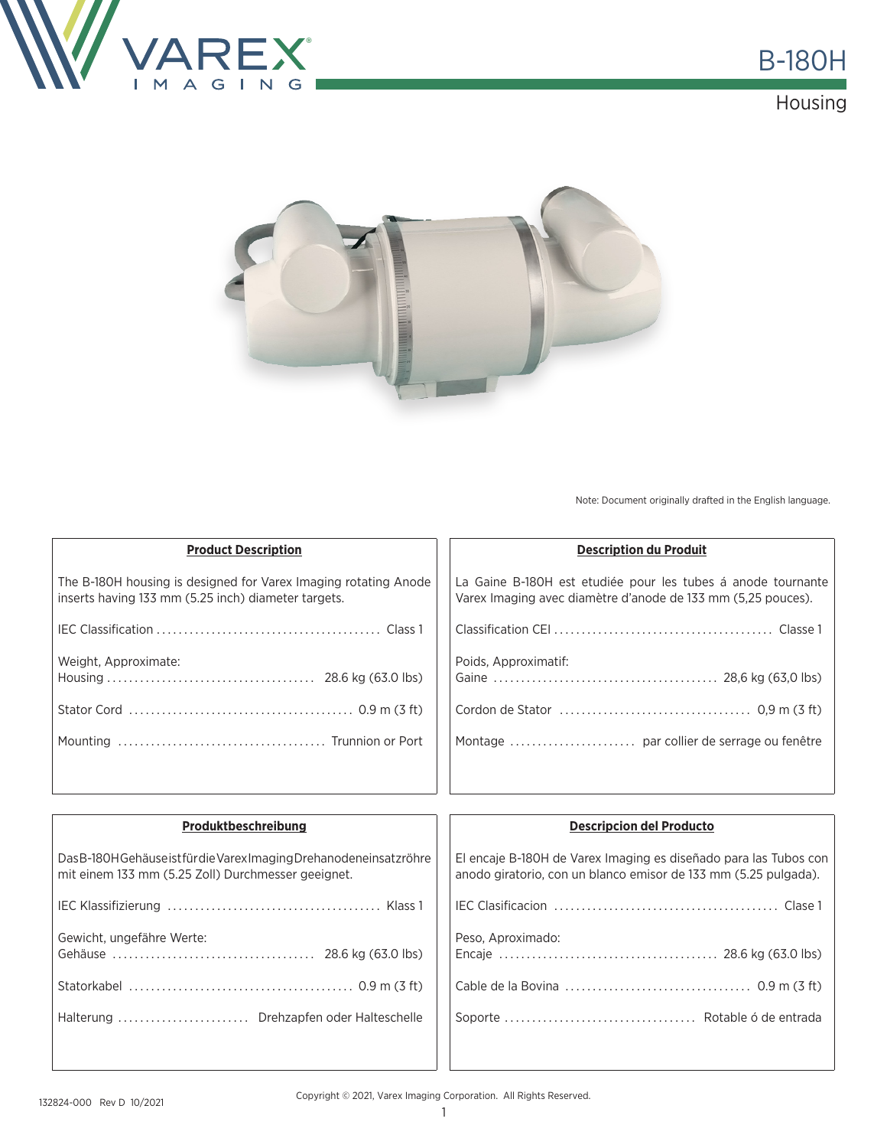





Note: Document originally drafted in the English language.

| <b>Product Description</b>                                                                                             | <b>Description du Produit</b>                                                                                                |  |
|------------------------------------------------------------------------------------------------------------------------|------------------------------------------------------------------------------------------------------------------------------|--|
| The B-180H housing is designed for Varex Imaging rotating Anode<br>inserts having 133 mm (5.25 inch) diameter targets. | La Gaine B-180H est etudiée pour les tubes à anode tournante<br>Varex Imaging avec diamètre d'anode de 133 mm (5,25 pouces). |  |
|                                                                                                                        |                                                                                                                              |  |
| Weight, Approximate:                                                                                                   | Poids, Approximatif:                                                                                                         |  |
|                                                                                                                        |                                                                                                                              |  |
|                                                                                                                        |                                                                                                                              |  |
|                                                                                                                        |                                                                                                                              |  |

| Produktbeschreibung                                                                                                       | <b>Descripcion del Producto</b>                                                                                                     |
|---------------------------------------------------------------------------------------------------------------------------|-------------------------------------------------------------------------------------------------------------------------------------|
| Das B-180H Gehäuse ist für die Varex Imaging Drehanodeneinsatzröhre<br>mit einem 133 mm (5.25 Zoll) Durchmesser geeignet. | El encaje B-180H de Varex Imaging es diseñado para las Tubos con<br>anodo giratorio, con un blanco emisor de 133 mm (5.25 pulgada). |
|                                                                                                                           |                                                                                                                                     |
| Gewicht, ungefähre Werte:                                                                                                 | Peso, Aproximado:                                                                                                                   |
|                                                                                                                           |                                                                                                                                     |
| Halterung  Drehzapfen oder Halteschelle                                                                                   |                                                                                                                                     |
|                                                                                                                           |                                                                                                                                     |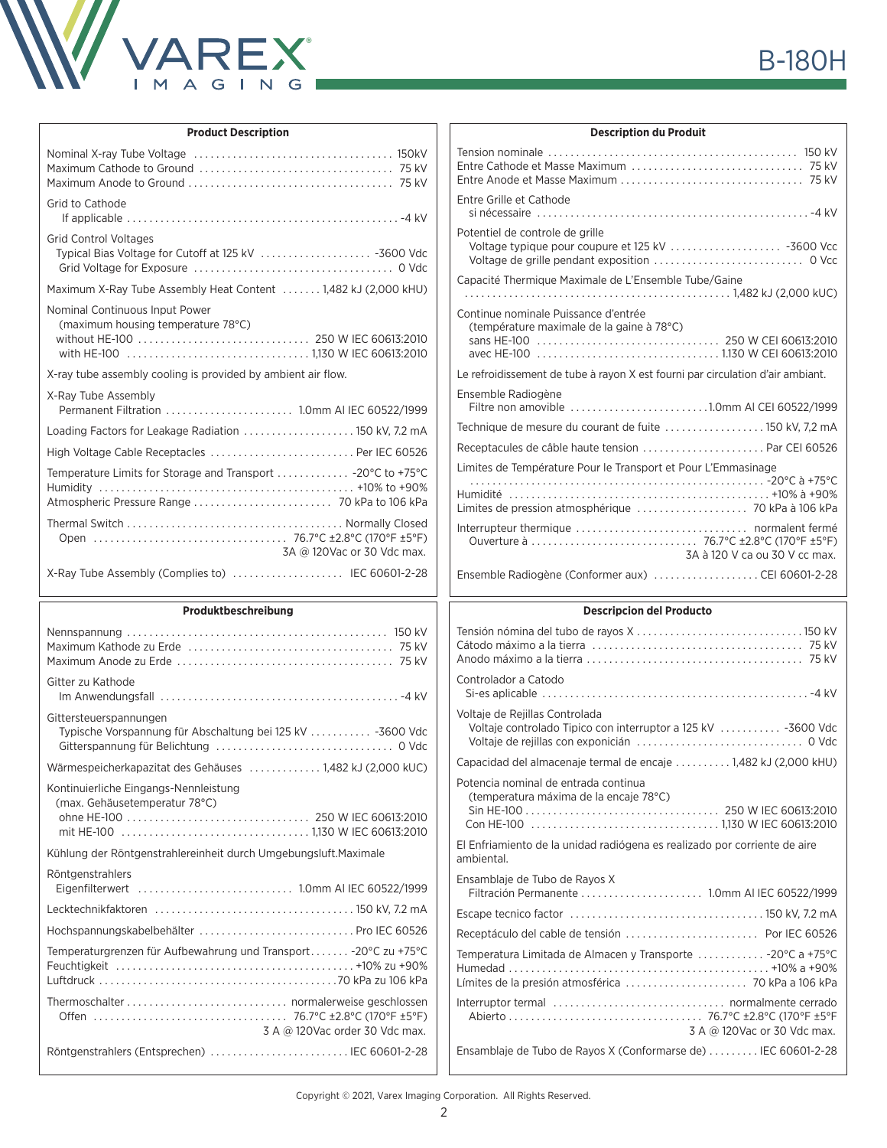

| <b>Product Description</b>                                                           |  |
|--------------------------------------------------------------------------------------|--|
|                                                                                      |  |
| Grid to Cathode                                                                      |  |
| <b>Grid Control Voltages</b><br>Typical Bias Voltage for Cutoff at 125 kV  -3600 Vdc |  |
| Maximum X-Ray Tube Assembly Heat Content  1,482 kJ (2,000 kHU)                       |  |
| Nominal Continuous Input Power<br>(maximum housing temperature 78°C)                 |  |
| X-ray tube assembly cooling is provided by ambient air flow.                         |  |
| X-Ray Tube Assembly                                                                  |  |
| Loading Factors for Leakage Radiation  150 kV, 7.2 mA                                |  |
| High Voltage Cable Receptacles  Per IEC 60526                                        |  |
| Temperature Limits for Storage and Transport  - 20°C to +75°C                        |  |
| 3A @ 120Vac or 30 Vdc max.                                                           |  |
| X-Ray Tube Assembly (Complies to)  IEC 60601-2-28                                    |  |
|                                                                                      |  |
|                                                                                      |  |
| Produktbeschreibung                                                                  |  |
| Gitter zu Kathode                                                                    |  |
| Gittersteuerspannungen<br>Typische Vorspannung für Abschaltung bei 125 kV  -3600 Vdc |  |
| Wärmespeicherkapazitat des Gehäuses  1,482 kJ (2,000 kUC)                            |  |
| Kontinuierliche Eingangs-Nennleistung<br>(max. Gehäusetemperatur 78°C)               |  |
| Kühlung der Röntgenstrahlereinheit durch Umgebungsluft. Maximale                     |  |
| Röntgenstrahlers                                                                     |  |
|                                                                                      |  |
| Hochspannungskabelbehälter  Pro IEC 60526                                            |  |
| Temperaturgrenzen für Aufbewahrung und Transport - 20°C zu +75°C                     |  |
| 3 A @ 120Vac order 30 Vdc max.                                                       |  |

| <b>Description du Produit</b>                                                                   |
|-------------------------------------------------------------------------------------------------|
|                                                                                                 |
| Entre Grille et Cathode                                                                         |
| Potentiel de controle de grille                                                                 |
| Capacité Thermique Maximale de L'Ensemble Tube/Gaine                                            |
| Continue nominale Puissance d'entrée<br>(température maximale de la gaine à 78°C)               |
| Le refroidissement de tube à rayon X est fourni par circulation d'air ambiant.                  |
| Ensemble Radiogène<br>Filtre non amovible 1.0mm AI CEI 60522/1999                               |
| Technique de mesure du courant de fuite  150 kV, 7,2 mA                                         |
| Receptacules de câble haute tension  Par CEI 60526                                              |
| Limites de Température Pour le Transport et Pour L'Emmasinage                                   |
|                                                                                                 |
| 3A à 120 V ca ou 30 V cc max.                                                                   |
| Ensemble Radiogène (Conformer aux) CEI 60601-2-28                                               |
| <b>Descripcion del Producto</b>                                                                 |
|                                                                                                 |
| Controlador a Catodo                                                                            |
| Voltaje de Rejillas Controlada<br>Voltaje controlado Tipico con interruptor a 125 kV  -3600 Vdc |
| Capacidad del almacenaje termal de encaje  1,482 kJ (2,000 kHU)                                 |
| Potencia nominal de entrada continua<br>(temperatura máxima de la encaje 78°C)                  |
|                                                                                                 |
| El Enfriamiento de la unidad radiógena es realizado por corriente de aire<br>ambiental.         |
| Ensamblaje de Tubo de Rayos X<br>Filtración Permanente  1.0mm AI IEC 60522/1999                 |
|                                                                                                 |
|                                                                                                 |
| Temperatura Limitada de Almacen y Transporte  - 20°C a +75°C                                    |

Interruptor termal . . normalmente cerrado Abierto . . 76.7°C ±2.8°C (170°F ±5°F 3 A @ 120Vac or 30 Vdc max. Ensamblaje de Tubo de Rayos X (Conformarse de) . . . . . . . . . IEC 60601-2-28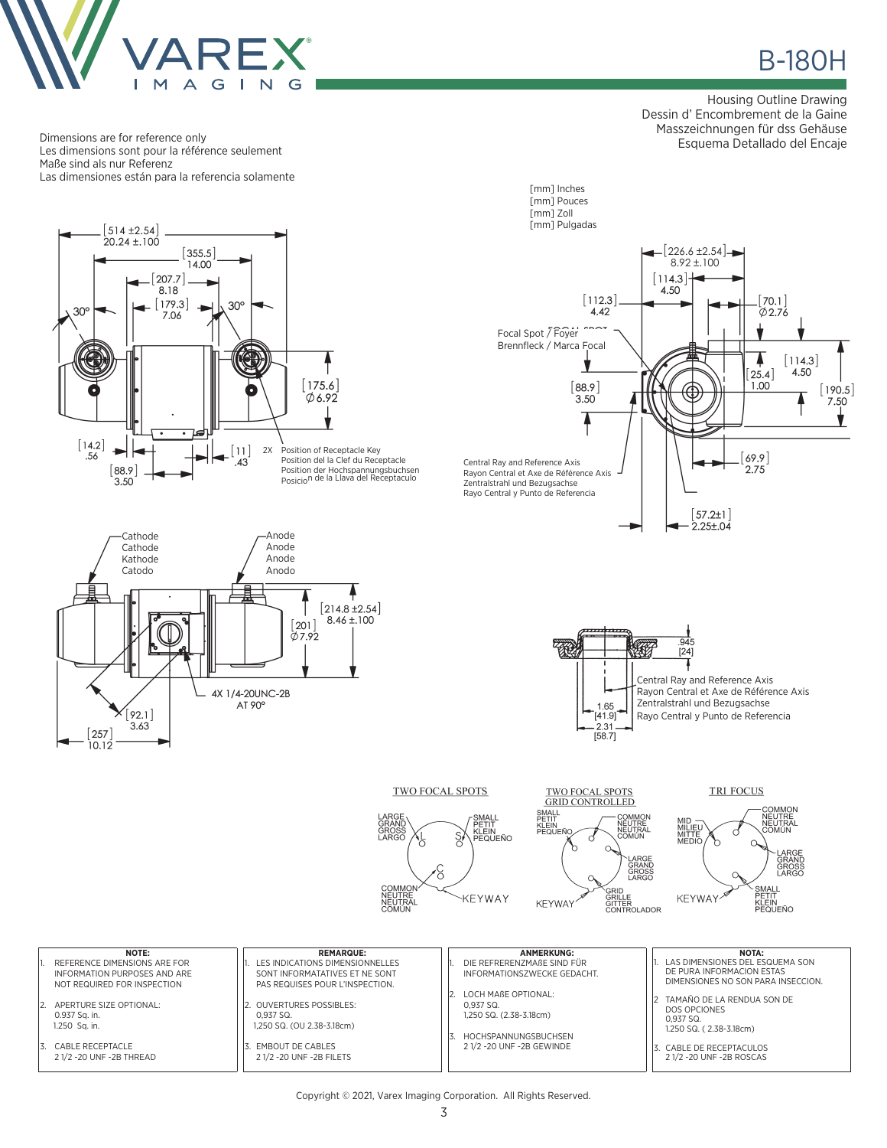

Les dimensions sont pour la référence seulement

Dimensions are for reference only

в в наших в наших в войн в наших в наших в наших в наших в наших в наших в наших в наших в наших в наших в наши<br>В наших в наших в наших в наших в наших в наших в наших в наших в наших в наших в наших в наших в наших в наш

Housing Outline Drawing Dessin d' Encombrement de la Gaine Masszeichnungen für dss Gehäuse Esquema Detallado del Encaje



Copyright © 2021, Varex Imaging Corporation. All Rights Reserved.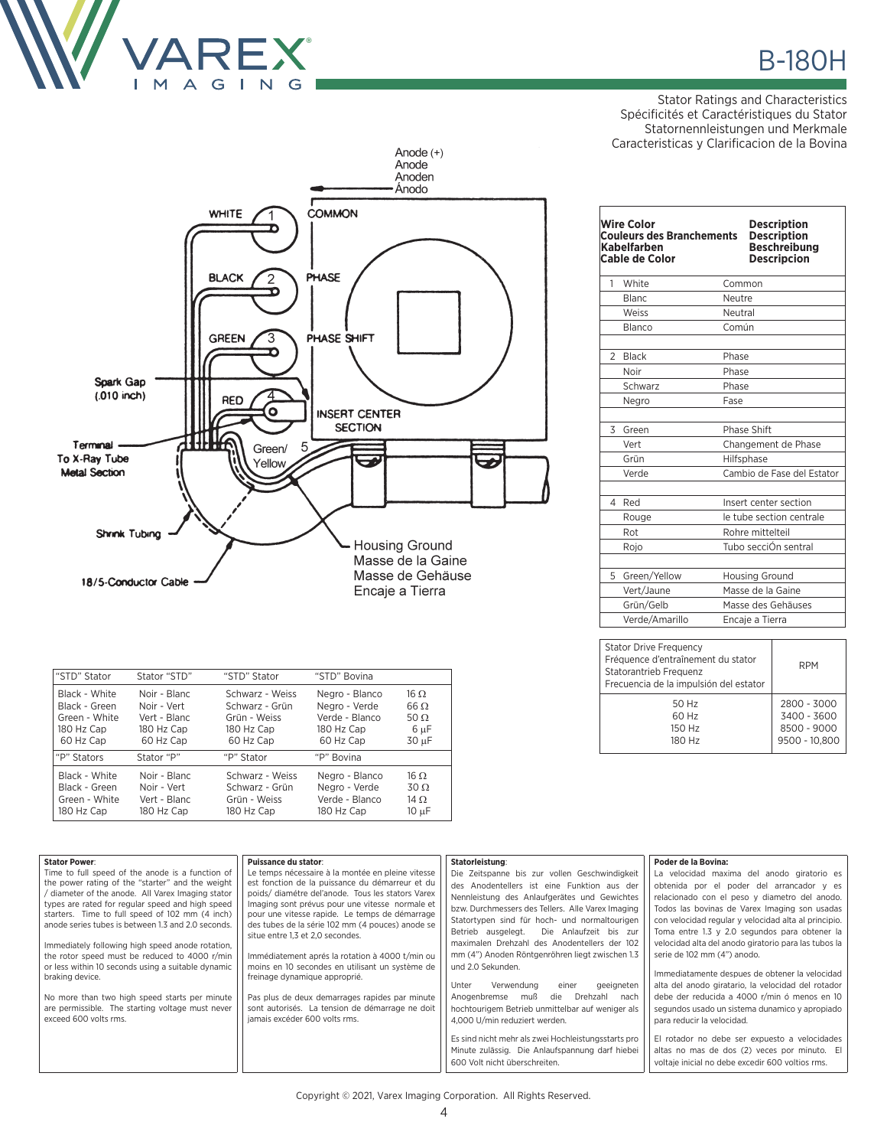

Stator Ratings and Characteristics Spécificités et Caractéristiques du Stator Statornennleistungen und Merkmale Caracteristicas y Clarificacion de la Bovina



| "STD" Stator                                                               | Stator "STD"                                                           | "STD" Stator                                                                 | "STD" Bovina                                                                 |                                                     |
|----------------------------------------------------------------------------|------------------------------------------------------------------------|------------------------------------------------------------------------------|------------------------------------------------------------------------------|-----------------------------------------------------|
| Black - White<br>Black - Green<br>Green - White<br>180 Hz Cap<br>60 Hz Cap | Noir - Blanc<br>Noir - Vert<br>Vert - Blanc<br>180 Hz Cap<br>60 Hz Cap | Schwarz - Weiss<br>Schwarz - Grün<br>Grün - Weiss<br>180 Hz Cap<br>60 Hz Cap | Negro - Blanco<br>Negro - Verde<br>Verde - Blanco<br>180 Hz Cap<br>60 Hz Cap | 16.0<br>$66 \Omega$<br>50 $\Omega$<br>6 µF<br>30 µF |
| "P" Stators                                                                | Stator "P"                                                             | "P" Stator                                                                   | "P" Bovina                                                                   |                                                     |
| Black - White<br>Black - Green<br>Green - White<br>180 Hz Cap              | Noir - Blanc<br>Noir - Vert<br>Vert - Blanc<br>180 Hz Cap              | Schwarz - Weiss<br>Schwarz - Grün<br>Grün - Weiss<br>180 Hz Cap              | Negro - Blanco<br>Negro - Verde<br>Verde - Blanco<br>180 Hz Cap              | $16 \Omega$<br>$30\Omega$<br>14 $\Omega$<br>10 µF   |
|                                                                            |                                                                        |                                                                              |                                                                              |                                                     |

|                | <b>Wire Color</b><br><b>Couleurs des Branchements</b><br>Kabelfarben<br><b>Cable de Color</b> |         | <b>Description</b><br><b>Description</b><br><b>Beschreibung</b><br><b>Descripcion</b> |
|----------------|-----------------------------------------------------------------------------------------------|---------|---------------------------------------------------------------------------------------|
| 1              | White                                                                                         | Common  |                                                                                       |
|                | <b>Blanc</b>                                                                                  | Neutre  |                                                                                       |
|                | Weiss                                                                                         | Neutral |                                                                                       |
|                | Blanco                                                                                        | Común   |                                                                                       |
|                |                                                                                               |         |                                                                                       |
| $\mathfrak{D}$ | <b>Black</b>                                                                                  | Phase   |                                                                                       |
|                | Noir                                                                                          | Phase   |                                                                                       |
|                | Schwarz                                                                                       | Phase   |                                                                                       |
|                | Negro                                                                                         | Fase    |                                                                                       |
|                |                                                                                               |         |                                                                                       |
| 3              | Green                                                                                         |         | Phase Shift                                                                           |
|                | Vert                                                                                          |         | Changement de Phase                                                                   |
|                | Grün                                                                                          |         | Hilfsphase                                                                            |
|                | Verde                                                                                         |         | Cambio de Fase del Estator                                                            |
|                |                                                                                               |         |                                                                                       |
| 4              | Red                                                                                           |         | Insert center section                                                                 |
|                | Rouge                                                                                         |         | le tube section centrale                                                              |
|                | Rot                                                                                           |         | Rohre mittelteil                                                                      |
|                | Rojo                                                                                          |         | Tubo secciÓn sentral                                                                  |
|                |                                                                                               |         |                                                                                       |
| 5              | Green/Yellow                                                                                  |         | <b>Housing Ground</b>                                                                 |
|                | Vert/Jaune                                                                                    |         | Masse de la Gaine                                                                     |
|                | Grün/Gelb                                                                                     |         | Masse des Gehäuses                                                                    |
|                | Verde/Amarillo                                                                                |         | Encaje a Tierra                                                                       |

| <b>Stator Drive Frequency</b><br>Fréquence d'entraînement du stator<br>Statorantrieb Frequenz<br>Frecuencia de la impulsión del estator | <b>RPM</b>    |
|-----------------------------------------------------------------------------------------------------------------------------------------|---------------|
| 50 Hz                                                                                                                                   | 2800 - 3000   |
| 60 Hz                                                                                                                                   | 3400 - 3600   |
| 150 Hz                                                                                                                                  | 8500 - 9000   |
| 180 Hz                                                                                                                                  | 9500 - 10.800 |

| <b>Stator Power:</b>                                                                                  | Puissance du stator:                                                                               | Statorleistung:                                     | Poder de la Bovina:                                  |
|-------------------------------------------------------------------------------------------------------|----------------------------------------------------------------------------------------------------|-----------------------------------------------------|------------------------------------------------------|
| Time to full speed of the anode is a function of                                                      | Le temps nécessaire à la montée en pleine vitesse                                                  | Die Zeitspanne bis zur vollen Geschwindigkeit       | La velocidad maxima del anodo giratorio es           |
| the power rating of the "starter" and the weight                                                      | est fonction de la puissance du démarreur et du                                                    | des Anodentellers ist eine Funktion aus der         | obtenida por el poder del arrancador y es            |
| / diameter of the anode. All Varex Imaging stator                                                     | poids/diamétre del'anode. Tous les stators Varex                                                   | Nennleistung des Anlaufgerätes und Gewichtes        | relacionado con el peso y diametro del anodo.        |
| types are rated for regular speed and high speed                                                      | Imaging sont prévus pour une vitesse normale et                                                    | bzw. Durchmessers des Tellers. Alle Varex Imaging   | Todos las bovinas de Varex Imaging son usadas        |
| starters. Time to full speed of 102 mm (4 inch)<br>anode series tubes is between 1.3 and 2.0 seconds. | pour une vitesse rapide. Le temps de démarrage<br>des tubes de la série 102 mm (4 pouces) anode se | Statortypen sind für hoch- und normaltourigen       | con velocidad regular y velocidad alta al principio. |
|                                                                                                       | situe entre 1,3 et 2,0 secondes.                                                                   | Betrieb ausgelegt.<br>Die Anlaufzeit bis zur        | Toma entre 1.3 y 2.0 segundos para obtener la        |
| Immediately following high speed anode rotation,                                                      |                                                                                                    | maximalen Drehzahl des Anodentellers der 102        | velocidad alta del anodo giratorio para las tubos la |
| the rotor speed must be reduced to 4000 r/min                                                         | Immédiatement aprés la rotation à 4000 t/min ou                                                    | mm (4") Anoden Röntgenröhren liegt zwischen 1.3     | serie de 102 mm (4") anodo.                          |
| or less within 10 seconds using a suitable dynamic                                                    | moins en 10 secondes en utilisant un système de                                                    | und 2.0 Sekunden.                                   |                                                      |
| braking device.                                                                                       | freinage dynamique approprié.                                                                      |                                                     | Immediatamente despues de obtener la velocidad       |
|                                                                                                       |                                                                                                    | Verwendung<br>geeigneten<br>Unter<br>einer          | alta del anodo giratario, la velocidad del rotador   |
| No more than two high speed starts per minute                                                         | Pas plus de deux demarrages rapides par minute                                                     | muß<br>Drehzahl<br>Anogenbremse<br>die<br>nach      | debe der reducida a 4000 r/min ó menos en 10         |
| are permissible. The starting voltage must never                                                      | sont autorisés. La tension de démarrage ne doit                                                    | hochtourigem Betrieb unmittelbar auf weniger als    | segundos usado un sistema dunamico y apropiado       |
| exceed 600 volts rms.                                                                                 | jamais excéder 600 volts rms.                                                                      | 4.000 U/min reduziert werden.                       | para reducir la velocidad.                           |
|                                                                                                       |                                                                                                    | Es sind nicht mehr als zwei Hochleistungsstarts pro | El rotador no debe ser expuesto a velocidades        |
|                                                                                                       |                                                                                                    | Minute zulässig. Die Anlaufspannung darf hiebei     | altas no mas de dos (2) veces por minuto. El         |
|                                                                                                       |                                                                                                    |                                                     |                                                      |
|                                                                                                       |                                                                                                    | 600 Volt nicht überschreiten.                       | voltaje inicial no debe excedir 600 voltios rms.     |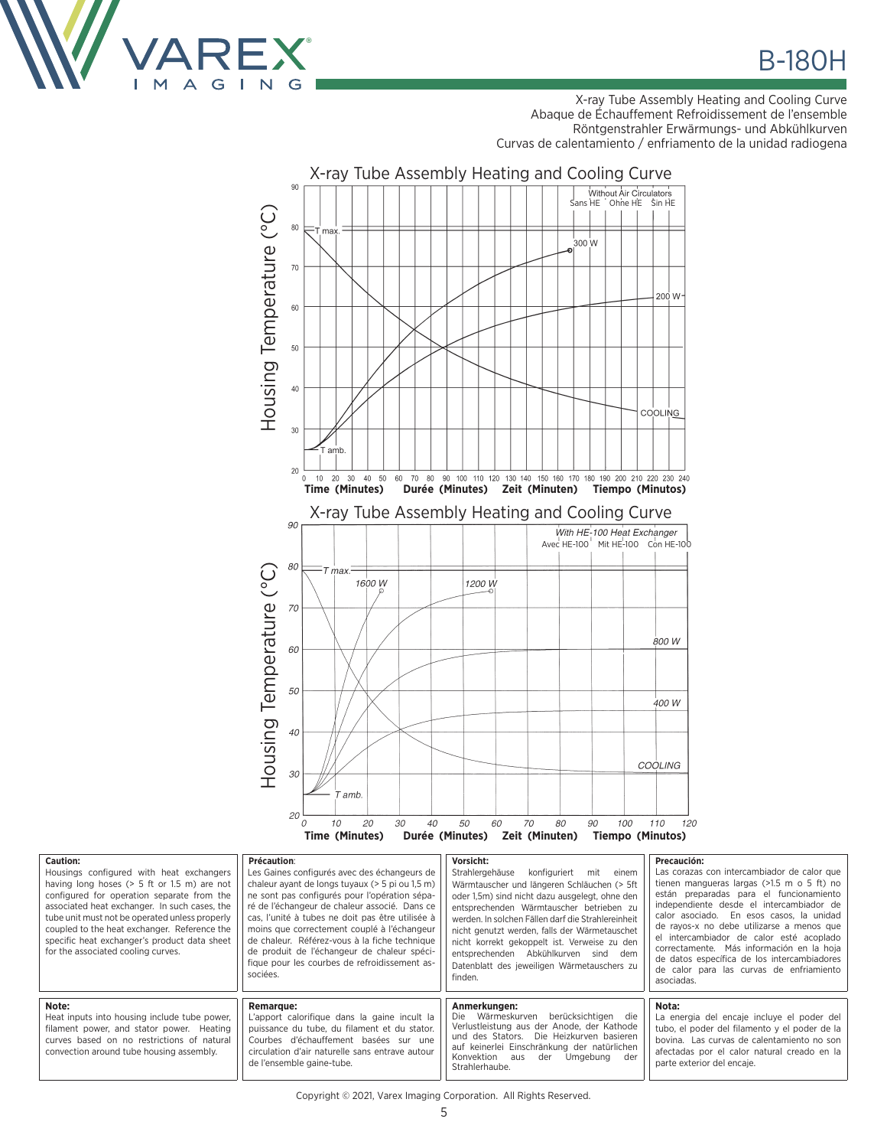

**B-180H** 

X-ray Tube Assembly Heating and Cooling Curve Abaque de Échauffement Refroidissement de l'ensemble Röntgenstrahler Erwärmungs- und Abkühlkurven Curvas de calentamiento / enfriamento de la unidad radiogena



| <b>Caution:</b><br>Housings configured with heat exchangers<br>having long hoses $(> 5$ ft or 1.5 m) are not<br>configured for operation separate from the<br>associated heat exchanger. In such cases, the<br>tube unit must not be operated unless properly<br>coupled to the heat exchanger. Reference the<br>specific heat exchanger's product data sheet<br>for the associated cooling curves. | Précaution:<br>Les Gaines configurés avec des échangeurs de<br>chaleur ayant de longs tuyaux (> 5 pi ou 1,5 m)<br>ne sont pas configurés pour l'opération sépa-<br>ré de l'échangeur de chaleur associé. Dans ce<br>cas, l'unité à tubes ne doit pas être utilisée à<br>moins que correctement couplé à l'échangeur<br>de chaleur. Référez-vous à la fiche technique<br>de produit de l'échangeur de chaleur spéci-<br>fique pour les courbes de refroidissement as-<br>sociées. | Vorsicht:<br>Strahlergehäuse<br>konfiguriert<br>mit<br>einem<br>Wärmtauscher und längeren Schläuchen (> 5ft<br>oder 1.5m) sind nicht dazu ausgelegt, ohne den<br>entsprechenden Wärmtauscher betrieben zu<br>werden. In solchen Fällen darf die Strahlereinheit<br>nicht genutzt werden, falls der Wärmetauschet<br>nicht korrekt gekoppelt ist. Verweise zu den<br>entsprechenden Abkühlkurven sind<br>dem<br>Datenblatt des jeweiligen Wärmetauschers zu<br>finden. | Precaución:<br>Las corazas con intercambiador de calor que<br>tienen mangueras largas $(>1.5$ m o 5 ft) no<br>están preparadas para el funcionamiento<br>independiente desde el intercambiador de<br>calor asociado. En esos casos, la unidad<br>de rayos-x no debe utilizarse a menos que<br>el intercambiador de calor esté acoplado<br>correctamente. Más información en la hoja<br>de datos específica de los intercambiadores<br>de calor para las curvas de enfriamiento<br>asociadas. |
|-----------------------------------------------------------------------------------------------------------------------------------------------------------------------------------------------------------------------------------------------------------------------------------------------------------------------------------------------------------------------------------------------------|----------------------------------------------------------------------------------------------------------------------------------------------------------------------------------------------------------------------------------------------------------------------------------------------------------------------------------------------------------------------------------------------------------------------------------------------------------------------------------|-----------------------------------------------------------------------------------------------------------------------------------------------------------------------------------------------------------------------------------------------------------------------------------------------------------------------------------------------------------------------------------------------------------------------------------------------------------------------|----------------------------------------------------------------------------------------------------------------------------------------------------------------------------------------------------------------------------------------------------------------------------------------------------------------------------------------------------------------------------------------------------------------------------------------------------------------------------------------------|
| Note:<br>Heat inputs into housing include tube power,<br>filament power, and stator power. Heating<br>curves based on no restrictions of natural<br>convection around tube housing assembly.                                                                                                                                                                                                        | <b>Remarque:</b><br>L'apport calorifique dans la gaine incult la<br>puissance du tube, du filament et du stator.<br>Courbes d'échauffement basées sur une<br>circulation d'air naturelle sans entrave autour<br>de l'ensemble gaine-tube.                                                                                                                                                                                                                                        | Anmerkungen:<br>Die Wärmeskurven<br>berücksichtigen die<br>Verlustleistung aus der Anode, der Kathode<br>und des Stators.<br>Die Heizkurven basieren<br>auf keinerlei Einschränkung der natürlichen<br>Konvektion<br>der<br>Umaebuna<br>aus<br>der<br>Strahlerhaube.                                                                                                                                                                                                  | Nota:<br>La energia del encaje incluye el poder del<br>tubo, el poder del filamento y el poder de la<br>bovina. Las curvas de calentamiento no son<br>afectadas por el calor natural creado en la<br>parte exterior del encaje.                                                                                                                                                                                                                                                              |

Copyright © 2021, Varex Imaging Corporation. All Rights Reserved.